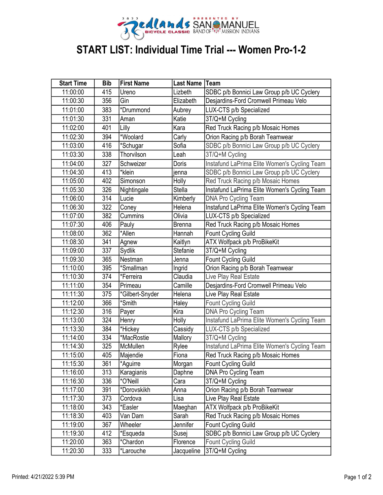

## START LIST: Individual Time Trial --- Women Pro-1-2

| <b>Start Time</b> | <b>Bib</b> | <b>First Name</b> | <b>Last Name</b> | <b>Team</b>                                  |
|-------------------|------------|-------------------|------------------|----------------------------------------------|
| 11:00:00          | 415        | Ureno             | Lizbeth          | SDBC p/b Bonnici Law Group p/b UC Cyclery    |
| 11:00:30          | 356        | Gin               | Elizabeth        | Desjardins-Ford Cromwell Primeau Velo        |
| 11:01:00          | 383        | *Drummond         | Aubrey           | LUX-CTS p/b Specialized                      |
| 11:01:30          | 331        | Aman              | Katie            | 3T/Q+M Cycling                               |
| 11:02:00          | 401        | Lilly             | Kara             | Red Truck Racing p/b Mosaic Homes            |
| 11:02:30          | 394        | *Woolard          | Carly            | Orion Racing p/b Borah Teamwear              |
| 11:03:00          | 416        | *Schugar          | Sofia            | SDBC p/b Bonnici Law Group p/b UC Cyclery    |
| 11:03:30          | 338        | Thorvilson        | Leah             | 3T/Q+M Cycling                               |
| 11:04:00          | 327        | Schweizer         | Doris            | Instafund LaPrima Elite Women's Cycling Team |
| 11:04:30          | 413        | *klein            | jenna            | SDBC p/b Bonnici Law Group p/b UC Cyclery    |
| 11:05:00          | 402        | Simonson          | Holly            | Red Truck Racing p/b Mosaic Homes            |
| 11:05:30          | 326        | Nightingale       | <b>Stella</b>    | Instafund LaPrima Elite Women's Cycling Team |
| 11:06:00          | 314        | Lucie             | Kimberly         | <b>DNA Pro Cycling Team</b>                  |
| 11:06:30          | 322        | Coney             | Helena           | Instafund LaPrima Elite Women's Cycling Team |
| 11:07:00          | 382        | Cummins           | Olivia           | LUX-CTS p/b Specialized                      |
| 11:07:30          | 406        | Pauly             | <b>Brenna</b>    | Red Truck Racing p/b Mosaic Homes            |
| 11:08:00          | 362        | *Allen            | Hannah           | Fount Cycling Guild                          |
| 11:08:30          | 341        | Agnew             | Kaitlyn          | ATX Wolfpack p/b ProBikeKit                  |
| 11:09:00          | 337        | Sydlik            | Stefanie         | 3T/Q+M Cycling                               |
| 11:09:30          | 365        | Nestman           | Jenna            | Fount Cycling Guild                          |
| 11:10:00          | 395        | *Smallman         | Ingrid           | Orion Racing p/b Borah Teamwear              |
| 11:10:30          | 374        | *Ferreira         | Claudia          | Live Play Real Estate                        |
| 11:11:00          | 354        | Primeau           | Camille          | Desjardins-Ford Cromwell Primeau Velo        |
| 11:11:30          | 375        | *Gilbert-Snyder   | Helena           | Live Play Real Estate                        |
| 11:12:00          | 366        | *Smith            | Haley            | <b>Fount Cycling Guild</b>                   |
| 11:12:30          | 316        | Payer             | Kira             | <b>DNA Pro Cycling Team</b>                  |
| 11:13:00          | 324        | Henry             | Holly            | Instafund LaPrima Elite Women's Cycling Team |
| 11:13:30          | 384        | *Hickey           | Cassidy          | LUX-CTS p/b Specialized                      |
| 11:14:00          | 334        | *MacRostie        | Mallory          | 3T/Q+M Cycling                               |
| 11:14:30          | 325        | McMullen          | Rylee            | Instafund LaPrima Elite Women's Cycling Team |
| 11:15:00          | 405        | Majendie          | Fiona            | Red Truck Racing p/b Mosaic Homes            |
| 11:15:30          | 361        | *Aguirre          | Morgan           | Fount Cycling Guild                          |
| 11:16:00          | 313        | Karagianis        | Daphne           | DNA Pro Cycling Team                         |
| 11:16:30          | 336        | *O'Neill          | Cara             | 3T/Q+M Cycling                               |
| 11:17:00          | 391        | *Dorovskikh       | Anna             | Orion Racing p/b Borah Teamwear              |
| 11:17:30          | 373        | Cordova           | Lisa             | Live Play Real Estate                        |
| 11:18:00          | 343        | *Easler           | Maeghan          | ATX Wolfpack p/b ProBikeKit                  |
| 11:18:30          | 403        | Van Dam           | Sarah            | Red Truck Racing p/b Mosaic Homes            |
| 11:19:00          | 367        | Wheeler           | Jennifer         | Fount Cycling Guild                          |
| 11:19:30          | 412        | *Esqueda          | Susej            | SDBC p/b Bonnici Law Group p/b UC Cyclery    |
| 11:20:00          | 363        | *Chardon          | Florence         | Fount Cycling Guild                          |
| 11:20:30          | 333        | *Larouche         | Jacqueline       | 3T/Q+M Cycling                               |